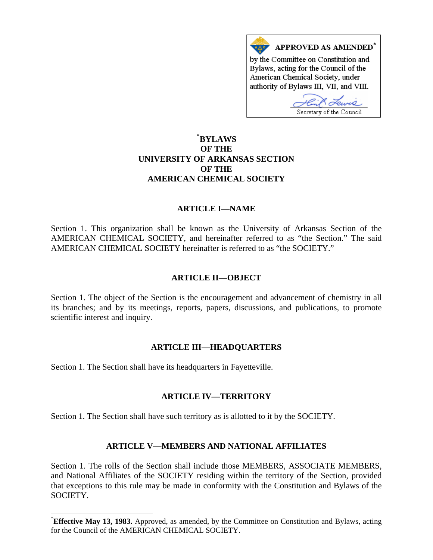

# **\* [BYLAWS](#page-0-0)  OF THE UNIVERSITY OF ARKANSAS SECTION OF THE AMERICAN CHEMICAL SOCIETY**

## **ARTICLE I—NAME**

Section 1. This organization shall be known as the University of Arkansas Section of the AMERICAN CHEMICAL SOCIETY, and hereinafter referred to as "the Section." The said AMERICAN CHEMICAL SOCIETY hereinafter is referred to as "the SOCIETY."

## **ARTICLE II—OBJECT**

Section 1. The object of the Section is the encouragement and advancement of chemistry in all its branches; and by its meetings, reports, papers, discussions, and publications, to promote scientific interest and inquiry.

## **ARTICLE III—HEADQUARTERS**

Section 1. The Section shall have its headquarters in Fayetteville.

 $\overline{a}$ 

## **ARTICLE IV—TERRITORY**

Section 1. The Section shall have such territory as is allotted to it by the SOCIETY.

## **ARTICLE V—MEMBERS AND NATIONAL AFFILIATES**

Section 1. The rolls of the Section shall include those MEMBERS, ASSOCIATE MEMBERS, and National Affiliates of the SOCIETY residing within the territory of the Section, provided that exceptions to this rule may be made in conformity with the Constitution and Bylaws of the SOCIETY.

<span id="page-0-0"></span><sup>\*</sup> **Effective May 13, 1983.** Approved, as amended, by the Committee on Constitution and Bylaws, acting for the Council of the AMERICAN CHEMICAL SOCIETY.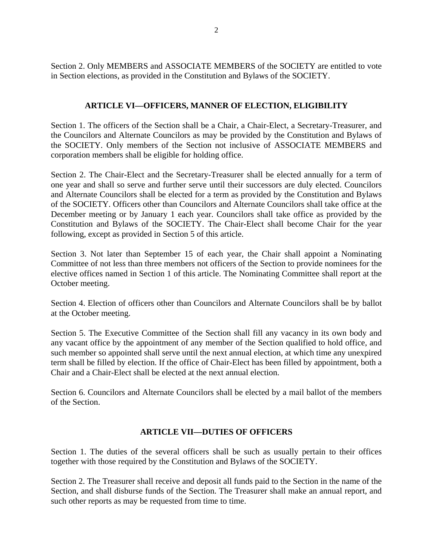Section 2. Only MEMBERS and ASSOCIATE MEMBERS of the SOCIETY are entitled to vote in Section elections, as provided in the Constitution and Bylaws of the SOCIETY.

# **ARTICLE VI—OFFICERS, MANNER OF ELECTION, ELIGIBILITY**

Section 1. The officers of the Section shall be a Chair, a Chair-Elect, a Secretary-Treasurer, and the Councilors and Alternate Councilors as may be provided by the Constitution and Bylaws of the SOCIETY. Only members of the Section not inclusive of ASSOCIATE MEMBERS and corporation members shall be eligible for holding office.

Section 2. The Chair-Elect and the Secretary-Treasurer shall be elected annually for a term of one year and shall so serve and further serve until their successors are duly elected. Councilors and Alternate Councilors shall be elected for a term as provided by the Constitution and Bylaws of the SOCIETY. Officers other than Councilors and Alternate Councilors shall take office at the December meeting or by January 1 each year. Councilors shall take office as provided by the Constitution and Bylaws of the SOCIETY. The Chair-Elect shall become Chair for the year following, except as provided in Section 5 of this article.

Section 3. Not later than September 15 of each year, the Chair shall appoint a Nominating Committee of not less than three members not officers of the Section to provide nominees for the elective offices named in Section 1 of this article. The Nominating Committee shall report at the October meeting.

Section 4. Election of officers other than Councilors and Alternate Councilors shall be by ballot at the October meeting.

Section 5. The Executive Committee of the Section shall fill any vacancy in its own body and any vacant office by the appointment of any member of the Section qualified to hold office, and such member so appointed shall serve until the next annual election, at which time any unexpired term shall be filled by election. If the office of Chair-Elect has been filled by appointment, both a Chair and a Chair-Elect shall be elected at the next annual election.

Section 6. Councilors and Alternate Councilors shall be elected by a mail ballot of the members of the Section.

## **ARTICLE VII—DUTIES OF OFFICERS**

Section 1. The duties of the several officers shall be such as usually pertain to their offices together with those required by the Constitution and Bylaws of the SOCIETY.

Section 2. The Treasurer shall receive and deposit all funds paid to the Section in the name of the Section, and shall disburse funds of the Section. The Treasurer shall make an annual report, and such other reports as may be requested from time to time.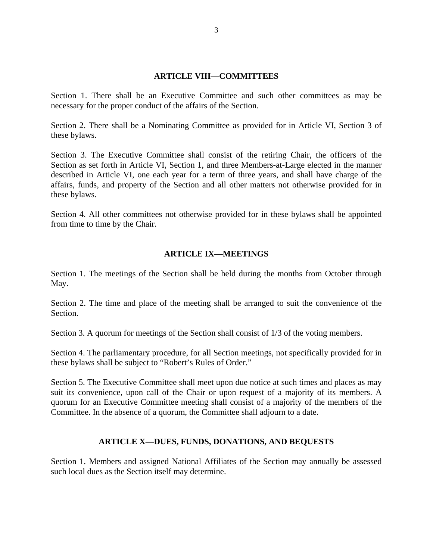#### **ARTICLE VIII—COMMITTEES**

Section 1. There shall be an Executive Committee and such other committees as may be necessary for the proper conduct of the affairs of the Section.

Section 2. There shall be a Nominating Committee as provided for in Article VI, Section 3 of these bylaws.

Section 3. The Executive Committee shall consist of the retiring Chair, the officers of the Section as set forth in Article VI, Section 1, and three Members-at-Large elected in the manner described in Article VI, one each year for a term of three years, and shall have charge of the affairs, funds, and property of the Section and all other matters not otherwise provided for in these bylaws.

Section 4. All other committees not otherwise provided for in these bylaws shall be appointed from time to time by the Chair.

#### **ARTICLE IX—MEETINGS**

Section 1. The meetings of the Section shall be held during the months from October through May.

Section 2. The time and place of the meeting shall be arranged to suit the convenience of the Section.

Section 3. A quorum for meetings of the Section shall consist of 1/3 of the voting members.

Section 4. The parliamentary procedure, for all Section meetings, not specifically provided for in these bylaws shall be subject to "Robert's Rules of Order."

Section 5. The Executive Committee shall meet upon due notice at such times and places as may suit its convenience, upon call of the Chair or upon request of a majority of its members. A quorum for an Executive Committee meeting shall consist of a majority of the members of the Committee. In the absence of a quorum, the Committee shall adjourn to a date.

## **ARTICLE X—DUES, FUNDS, DONATIONS, AND BEQUESTS**

Section 1. Members and assigned National Affiliates of the Section may annually be assessed such local dues as the Section itself may determine.